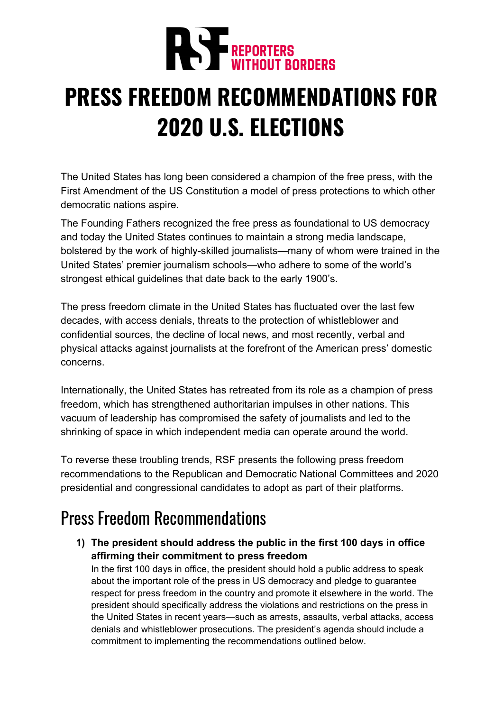

# **PRESS FREEDOM RECOMMENDATIONS FOR 2020 U.S. ELECTIONS**

The United States has long been considered a champion of the free press, with the First Amendment of the US Constitution a model of press protections to which other democratic nations aspire.

The Founding Fathers recognized the free press as foundational to US democracy and today the United States continues to maintain a strong media landscape, bolstered by the work of highly-skilled journalists—many of whom were trained in the United States' premier journalism schools—who adhere to some of the world's strongest ethical guidelines that date back to the early 1900's.

The press freedom climate in the United States has fluctuated over the last few decades, with access denials, threats to the protection of whistleblower and confidential sources, the decline of local news, and most recently, verbal and physical attacks against journalists at the forefront of the American press' domestic concerns.

Internationally, the United States has retreated from its role as a champion of press freedom, which has strengthened authoritarian impulses in other nations. This vacuum of leadership has compromised the safety of journalists and led to the shrinking of space in which independent media can operate around the world.

To reverse these troubling trends, RSF presents the following press freedom recommendations to the Republican and Democratic National Committees and 2020 presidential and congressional candidates to adopt as part of their platforms.

## Press Freedom Recommendations

**1) The president should address the public in the first 100 days in office affirming their commitment to press freedom**

In the first 100 days in office, the president should hold a public address to speak about the important role of the press in US democracy and pledge to guarantee respect for press freedom in the country and promote it elsewhere in the world. The president should specifically address the violations and restrictions on the press in the United States in recent years—such as arrests, assaults, verbal attacks, access denials and whistleblower prosecutions. The president's agenda should include a commitment to implementing the recommendations outlined below.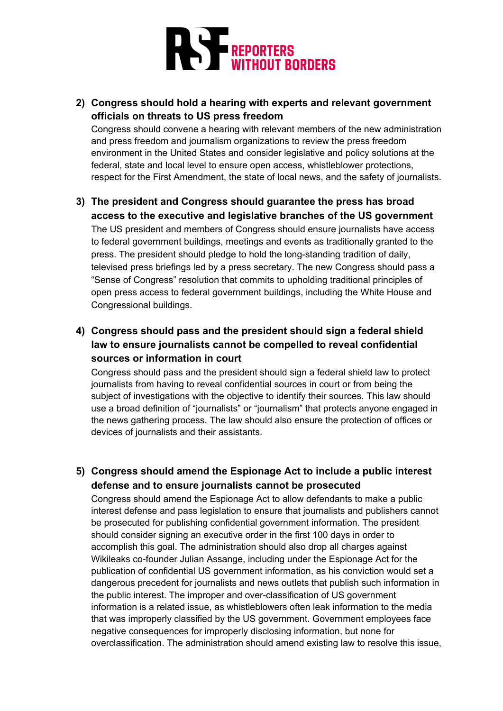

#### **2) Congress should hold a hearing with experts and relevant government officials on threats to US press freedom**

Congress should convene a hearing with relevant members of the new administration and press freedom and journalism organizations to review the press freedom environment in the United States and consider legislative and policy solutions at the federal, state and local level to ensure open access, whistleblower protections, respect for the First Amendment, the state of local news, and the safety of journalists.

#### **3) The president and Congress should guarantee the press has broad access to the executive and legislative branches of the US government**

The US president and members of Congress should ensure journalists have access to federal government buildings, meetings and events as traditionally granted to the press. The president should pledge to hold the long-standing tradition of daily, televised press briefings led by a press secretary. The new Congress should pass a "Sense of Congress" resolution that commits to upholding traditional principles of open press access to federal government buildings, including the White House and Congressional buildings.

#### **4) Congress should pass and the president should sign a federal shield law to ensure journalists cannot be compelled to reveal confidential sources or information in court**

Congress should pass and the president should sign a federal shield law to protect journalists from having to reveal confidential sources in court or from being the subject of investigations with the objective to identify their sources. This law should use a broad definition of "journalists" or "journalism" that protects anyone engaged in the news gathering process. The law should also ensure the protection of offices or devices of journalists and their assistants.

#### **5) Congress should amend the Espionage Act to include a public interest defense and to ensure journalists cannot be prosecuted**

Congress should amend the Espionage Act to allow defendants to make a public interest defense and pass legislation to ensure that journalists and publishers cannot be prosecuted for publishing confidential government information. The president should consider signing an executive order in the first 100 days in order to accomplish this goal. The administration should also drop all charges against Wikileaks co-founder Julian Assange, including under the Espionage Act for the publication of confidential US government information, as his conviction would set a dangerous precedent for journalists and news outlets that publish such information in the public interest. The improper and over-classification of US government information is a related issue, as whistleblowers often leak information to the media that was improperly classified by the US government. Government employees face negative consequences for improperly disclosing information, but none for overclassification. The administration should amend existing law to resolve this issue,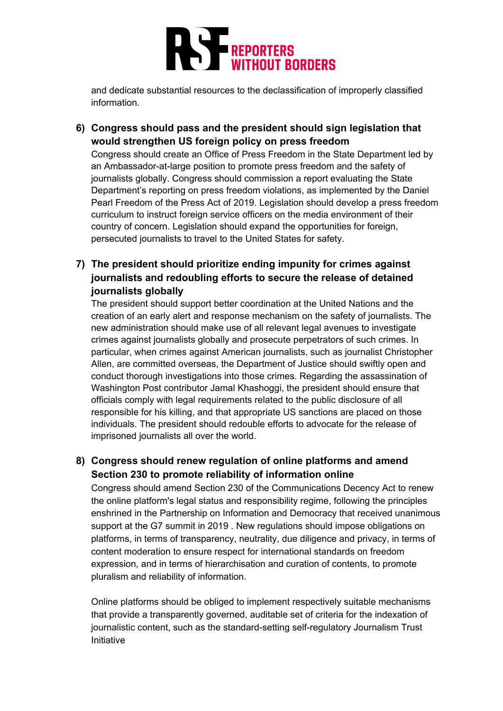

and dedicate substantial resources to the declassification of improperly classified information.

**6) Congress should pass and the president should sign legislation that would strengthen US foreign policy on press freedom**

Congress should create an Office of Press Freedom in the State Department led by an Ambassador-at-large position to promote press freedom and the safety of journalists globally. Congress should commission a report evaluating the State Department's reporting on press freedom violations, as implemented by the Daniel Pearl Freedom of the Press Act of 2019. Legislation should develop a press freedom curriculum to instruct foreign service officers on the media environment of their country of concern. Legislation should expand the opportunities for foreign, persecuted journalists to travel to the United States for safety.

**7) The president should prioritize ending impunity for crimes against journalists and redoubling efforts to secure the release of detained journalists globally**

The president should support better coordination at the United Nations and the creation of an early alert and response mechanism on the safety of journalists. The new administration should make use of all relevant legal avenues to investigate crimes against journalists globally and prosecute perpetrators of such crimes. In particular, when crimes against American journalists, such as journalist Christopher Allen, are committed overseas, the Department of Justice should swiftly open and conduct thorough investigations into those crimes. Regarding the assassination of Washington Post contributor Jamal Khashoggi, the president should ensure that officials comply with legal requirements related to the public disclosure of all responsible for his killing, and that appropriate US sanctions are placed on those individuals. The president should redouble efforts to advocate for the release of imprisoned journalists all over the world.

**8) Congress should renew regulation of online platforms and amend Section 230 to promote reliability of information online**

Congress should amend Section 230 of the Communications Decency Act to renew the online platform's legal status and responsibility regime, following the principles enshrined in the Partnership on Information and Democracy that received unanimous support at the G7 summit in 2019 . New regulations should impose obligations on platforms, in terms of transparency, neutrality, due diligence and privacy, in terms of content moderation to ensure respect for international standards on freedom expression, and in terms of hierarchisation and curation of contents, to promote pluralism and reliability of information.

Online platforms should be obliged to implement respectively suitable mechanisms that provide a transparently governed, auditable set of criteria for the indexation of journalistic content, such as the standard-setting self-regulatory Journalism Trust Initiative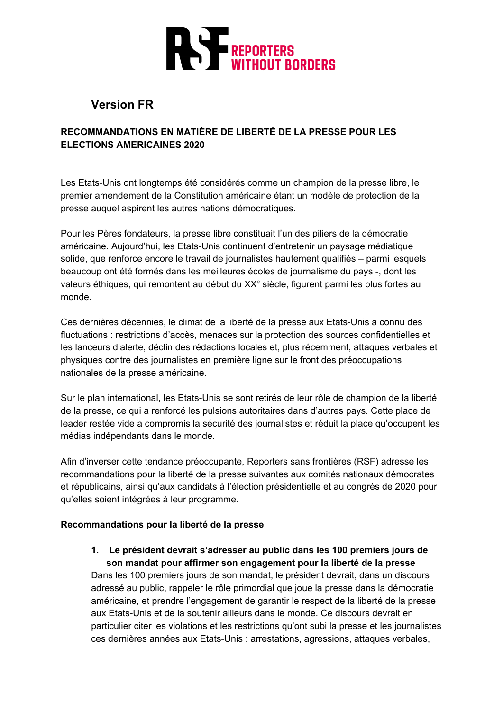

### **Version FR**

#### **RECOMMANDATIONS EN MATIÈRE DE LIBERTÉ DE LA PRESSE POUR LES ELECTIONS AMERICAINES 2020**

Les Etats-Unis ont longtemps été considérés comme un champion de la presse libre, le premier amendement de la Constitution américaine étant un modèle de protection de la presse auquel aspirent les autres nations démocratiques.

Pour les Pères fondateurs, la presse libre constituait l'un des piliers de la démocratie américaine. Aujourd'hui, les Etats-Unis continuent d'entretenir un paysage médiatique solide, que renforce encore le travail de journalistes hautement qualifiés – parmi lesquels beaucoup ont été formés dans les meilleures écoles de journalisme du pays -, dont les valeurs éthiques, qui remontent au début du XX<sup>e</sup> siècle, figurent parmi les plus fortes au monde.

Ces dernières décennies, le climat de la liberté de la presse aux Etats-Unis a connu des fluctuations : restrictions d'accès, menaces sur la protection des sources confidentielles et les lanceurs d'alerte, déclin des rédactions locales et, plus récemment, attaques verbales et physiques contre des journalistes en première ligne sur le front des préoccupations nationales de la presse américaine.

Sur le plan international, les Etats-Unis se sont retirés de leur rôle de champion de la liberté de la presse, ce qui a renforcé les pulsions autoritaires dans d'autres pays. Cette place de leader restée vide a compromis la sécurité des journalistes et réduit la place qu'occupent les médias indépendants dans le monde.

Afin d'inverser cette tendance préoccupante, Reporters sans frontières (RSF) adresse les recommandations pour la liberté de la presse suivantes aux comités nationaux démocrates et républicains, ainsi qu'aux candidats à l'élection présidentielle et au congrès de 2020 pour qu'elles soient intégrées à leur programme.

#### **Recommandations pour la liberté de la presse**

**1. Le président devrait s'adresser au public dans les 100 premiers jours de son mandat pour affirmer son engagement pour la liberté de la presse**

Dans les 100 premiers jours de son mandat, le président devrait, dans un discours adressé au public, rappeler le rôle primordial que joue la presse dans la démocratie américaine, et prendre l'engagement de garantir le respect de la liberté de la presse aux Etats-Unis et de la soutenir ailleurs dans le monde. Ce discours devrait en particulier citer les violations et les restrictions qu'ont subi la presse et les journalistes ces dernières années aux Etats-Unis : arrestations, agressions, attaques verbales,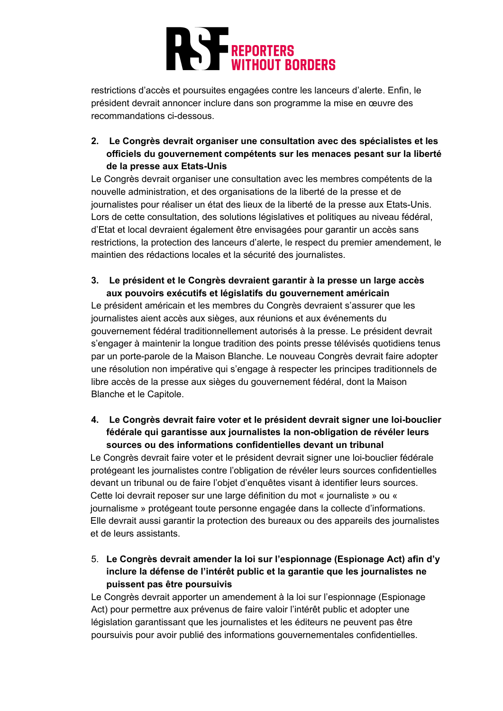

restrictions d'accès et poursuites engagées contre les lanceurs d'alerte. Enfin, le président devrait annoncer inclure dans son programme la mise en œuvre des recommandations ci-dessous.

**2. Le Congrès devrait organiser une consultation avec des spécialistes et les officiels du gouvernement compétents sur les menaces pesant sur la liberté de la presse aux Etats-Unis**

Le Congrès devrait organiser une consultation avec les membres compétents de la nouvelle administration, et des organisations de la liberté de la presse et de journalistes pour réaliser un état des lieux de la liberté de la presse aux Etats-Unis. Lors de cette consultation, des solutions législatives et politiques au niveau fédéral, d'Etat et local devraient également être envisagées pour garantir un accès sans restrictions, la protection des lanceurs d'alerte, le respect du premier amendement, le maintien des rédactions locales et la sécurité des journalistes.

#### **3. Le président et le Congrès devraient garantir à la presse un large accès aux pouvoirs exécutifs et législatifs du gouvernement américain**

Le président américain et les membres du Congrès devraient s'assurer que les journalistes aient accès aux sièges, aux réunions et aux événements du gouvernement fédéral traditionnellement autorisés à la presse. Le président devrait s'engager à maintenir la longue tradition des points presse télévisés quotidiens tenus par un porte-parole de la Maison Blanche. Le nouveau Congrès devrait faire adopter une résolution non impérative qui s'engage à respecter les principes traditionnels de libre accès de la presse aux sièges du gouvernement fédéral, dont la Maison Blanche et le Capitole.

#### **4. Le Congrès devrait faire voter et le président devrait signer une loi-bouclier fédérale qui garantisse aux journalistes la non-obligation de révéler leurs sources ou des informations confidentielles devant un tribunal**

Le Congrès devrait faire voter et le président devrait signer une loi-bouclier fédérale protégeant les journalistes contre l'obligation de révéler leurs sources confidentielles devant un tribunal ou de faire l'objet d'enquêtes visant à identifier leurs sources. Cette loi devrait reposer sur une large définition du mot « journaliste » ou « journalisme » protégeant toute personne engagée dans la collecte d'informations. Elle devrait aussi garantir la protection des bureaux ou des appareils des journalistes et de leurs assistants.

5. **Le Congrès devrait amender la loi sur l'espionnage (Espionage Act) afin d'y inclure la défense de l'intérêt public et la garantie que les journalistes ne puissent pas être poursuivis**

Le Congrès devrait apporter un amendement à la loi sur l'espionnage (Espionage Act) pour permettre aux prévenus de faire valoir l'intérêt public et adopter une législation garantissant que les journalistes et les éditeurs ne peuvent pas être poursuivis pour avoir publié des informations gouvernementales confidentielles.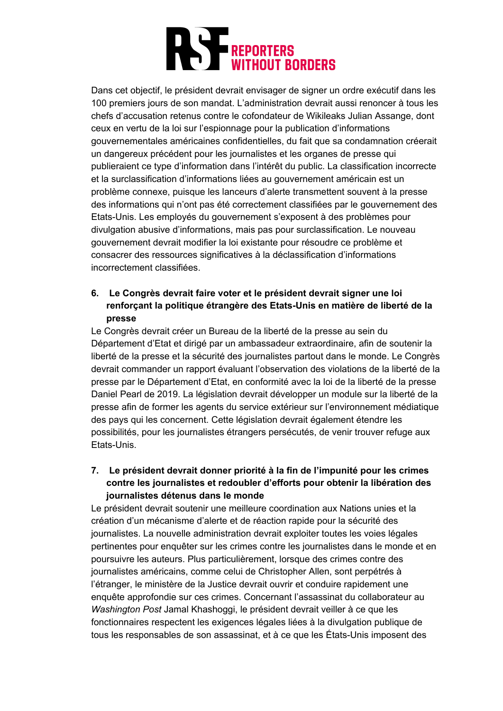

Dans cet objectif, le président devrait envisager de signer un ordre exécutif dans les 100 premiers jours de son mandat. L'administration devrait aussi renoncer à tous les chefs d'accusation retenus contre le cofondateur de Wikileaks Julian Assange, dont ceux en vertu de la loi sur l'espionnage pour la publication d'informations gouvernementales américaines confidentielles, du fait que sa condamnation créerait un dangereux précédent pour les journalistes et les organes de presse qui publieraient ce type d'information dans l'intérêt du public. La classification incorrecte et la surclassification d'informations liées au gouvernement américain est un problème connexe, puisque les lanceurs d'alerte transmettent souvent à la presse des informations qui n'ont pas été correctement classifiées par le gouvernement des Etats-Unis. Les employés du gouvernement s'exposent à des problèmes pour divulgation abusive d'informations, mais pas pour surclassification. Le nouveau gouvernement devrait modifier la loi existante pour résoudre ce problème et consacrer des ressources significatives à la déclassification d'informations incorrectement classifiées.

#### **6. Le Congrès devrait faire voter et le président devrait signer une loi renforçant la politique étrangère des Etats-Unis en matière de liberté de la presse**

Le Congrès devrait créer un Bureau de la liberté de la presse au sein du Département d'Etat et dirigé par un ambassadeur extraordinaire, afin de soutenir la liberté de la presse et la sécurité des journalistes partout dans le monde. Le Congrès devrait commander un rapport évaluant l'observation des violations de la liberté de la presse par le Département d'Etat, en conformité avec la loi de la liberté de la presse Daniel Pearl de 2019. La législation devrait développer un module sur la liberté de la presse afin de former les agents du service extérieur sur l'environnement médiatique des pays qui les concernent. Cette législation devrait également étendre les possibilités, pour les journalistes étrangers persécutés, de venir trouver refuge aux Etats-Unis.

#### **7. Le président devrait donner priorité à la fin de l'impunité pour les crimes contre les journalistes et redoubler d'efforts pour obtenir la libération des journalistes détenus dans le monde**

Le président devrait soutenir une meilleure coordination aux Nations unies et la création d'un mécanisme d'alerte et de réaction rapide pour la sécurité des journalistes. La nouvelle administration devrait exploiter toutes les voies légales pertinentes pour enquêter sur les crimes contre les journalistes dans le monde et en poursuivre les auteurs. Plus particulièrement, lorsque des crimes contre des journalistes américains, comme celui de Christopher Allen, sont perpétrés à l'étranger, le ministère de la Justice devrait ouvrir et conduire rapidement une enquête approfondie sur ces crimes. Concernant l'assassinat du collaborateur au *Washington Post* Jamal Khashoggi, le président devrait veiller à ce que les fonctionnaires respectent les exigences légales liées à la divulgation publique de tous les responsables de son assassinat, et à ce que les États-Unis imposent des